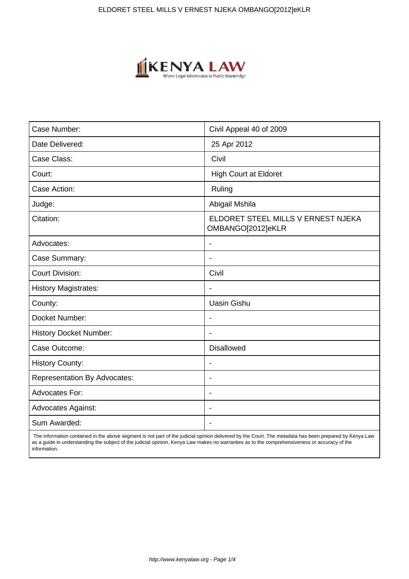

| Case Number:                        | Civil Appeal 40 of 2009                                 |
|-------------------------------------|---------------------------------------------------------|
| Date Delivered:                     | 25 Apr 2012                                             |
| Case Class:                         | Civil                                                   |
| Court:                              | <b>High Court at Eldoret</b>                            |
| Case Action:                        | Ruling                                                  |
| Judge:                              | Abigail Mshila                                          |
| Citation:                           | ELDORET STEEL MILLS V ERNEST NJEKA<br>OMBANGO[2012]eKLR |
| Advocates:                          |                                                         |
| Case Summary:                       | $\blacksquare$                                          |
| <b>Court Division:</b>              | Civil                                                   |
| <b>History Magistrates:</b>         | $\overline{\phantom{a}}$                                |
| County:                             | <b>Uasin Gishu</b>                                      |
| Docket Number:                      |                                                         |
| <b>History Docket Number:</b>       |                                                         |
| Case Outcome:                       | <b>Disallowed</b>                                       |
| <b>History County:</b>              | $\overline{\phantom{a}}$                                |
| <b>Representation By Advocates:</b> | ÷.                                                      |
| <b>Advocates For:</b>               | $\overline{\phantom{a}}$                                |
| <b>Advocates Against:</b>           |                                                         |
| Sum Awarded:                        |                                                         |

 The information contained in the above segment is not part of the judicial opinion delivered by the Court. The metadata has been prepared by Kenya Law as a guide in understanding the subject of the judicial opinion. Kenya Law makes no warranties as to the comprehensiveness or accuracy of the information.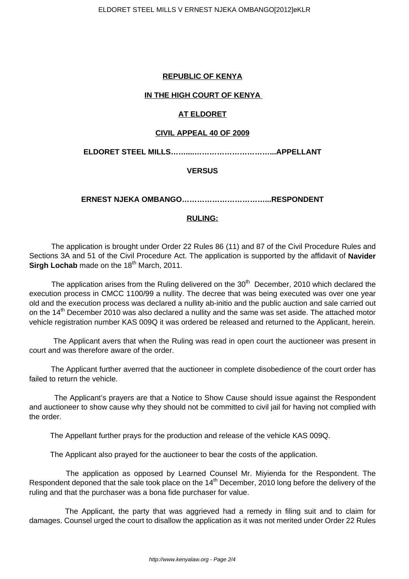## **REPUBLIC OF KENYA**

## **IN THE HIGH COURT OF KENYA**

# **AT ELDORET**

### **CIVIL APPEAL 40 OF 2009**

**ELDORET STEEL MILLS……....…………………………...APPELLANT**

# **VERSUS**

**ERNEST NJEKA OMBANGO……………………………...RESPONDENT**

# **RULING:**

 The application is brought under Order 22 Rules 86 (11) and 87 of the Civil Procedure Rules and Sections 3A and 51 of the Civil Procedure Act. The application is supported by the affidavit of **Navider Sirgh Lochab** made on the 18<sup>th</sup> March, 2011.

The application arises from the Ruling delivered on the  $30<sup>th</sup>$  December, 2010 which declared the execution process in CMCC 1100/99 a nullity. The decree that was being executed was over one year old and the execution process was declared a nullity ab-initio and the public auction and sale carried out on the 14<sup>th</sup> December 2010 was also declared a nullity and the same was set aside. The attached motor vehicle registration number KAS 009Q it was ordered be released and returned to the Applicant, herein.

 The Applicant avers that when the Ruling was read in open court the auctioneer was present in court and was therefore aware of the order.

 The Applicant further averred that the auctioneer in complete disobedience of the court order has failed to return the vehicle.

 The Applicant's prayers are that a Notice to Show Cause should issue against the Respondent and auctioneer to show cause why they should not be committed to civil jail for having not complied with the order.

The Appellant further prays for the production and release of the vehicle KAS 009Q.

The Applicant also prayed for the auctioneer to bear the costs of the application.

 The application as opposed by Learned Counsel Mr. Miyienda for the Respondent. The Respondent deponed that the sale took place on the 14<sup>th</sup> December, 2010 long before the delivery of the ruling and that the purchaser was a bona fide purchaser for value.

 The Applicant, the party that was aggrieved had a remedy in filing suit and to claim for damages. Counsel urged the court to disallow the application as it was not merited under Order 22 Rules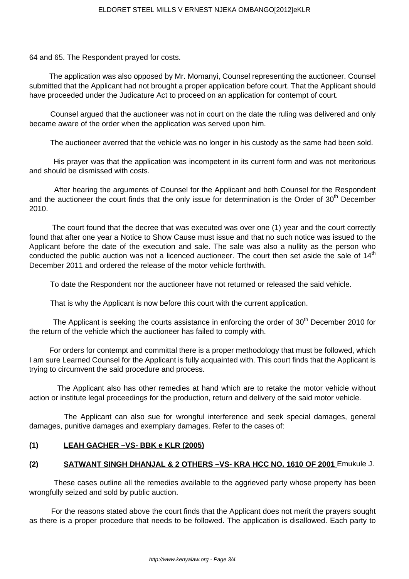64 and 65. The Respondent prayed for costs.

 The application was also opposed by Mr. Momanyi, Counsel representing the auctioneer. Counsel submitted that the Applicant had not brought a proper application before court. That the Applicant should have proceeded under the Judicature Act to proceed on an application for contempt of court.

 Counsel argued that the auctioneer was not in court on the date the ruling was delivered and only became aware of the order when the application was served upon him.

The auctioneer averred that the vehicle was no longer in his custody as the same had been sold.

 His prayer was that the application was incompetent in its current form and was not meritorious and should be dismissed with costs.

 After hearing the arguments of Counsel for the Applicant and both Counsel for the Respondent and the auctioneer the court finds that the only issue for determination is the Order of  $30<sup>th</sup>$  December 2010.

 The court found that the decree that was executed was over one (1) year and the court correctly found that after one year a Notice to Show Cause must issue and that no such notice was issued to the Applicant before the date of the execution and sale. The sale was also a nullity as the person who conducted the public auction was not a licenced auctioneer. The court then set aside the sale of  $14<sup>th</sup>$ December 2011 and ordered the release of the motor vehicle forthwith.

To date the Respondent nor the auctioneer have not returned or released the said vehicle.

That is why the Applicant is now before this court with the current application.

The Applicant is seeking the courts assistance in enforcing the order of  $30<sup>th</sup>$  December 2010 for the return of the vehicle which the auctioneer has failed to comply with.

 For orders for contempt and committal there is a proper methodology that must be followed, which I am sure Learned Counsel for the Applicant is fully acquainted with. This court finds that the Applicant is trying to circumvent the said procedure and process.

 The Applicant also has other remedies at hand which are to retake the motor vehicle without action or institute legal proceedings for the production, return and delivery of the said motor vehicle.

 The Applicant can also sue for wrongful interference and seek special damages, general damages, punitive damages and exemplary damages. Refer to the cases of:

# **(1) LEAH GACHER –VS- BBK e KLR (2005)**

# **(2) SATWANT SINGH DHANJAL & 2 OTHERS –VS- KRA HCC NO. 1610 OF 2001** Emukule J.

 These cases outline all the remedies available to the aggrieved party whose property has been wrongfully seized and sold by public auction.

 For the reasons stated above the court finds that the Applicant does not merit the prayers sought as there is a proper procedure that needs to be followed. The application is disallowed. Each party to